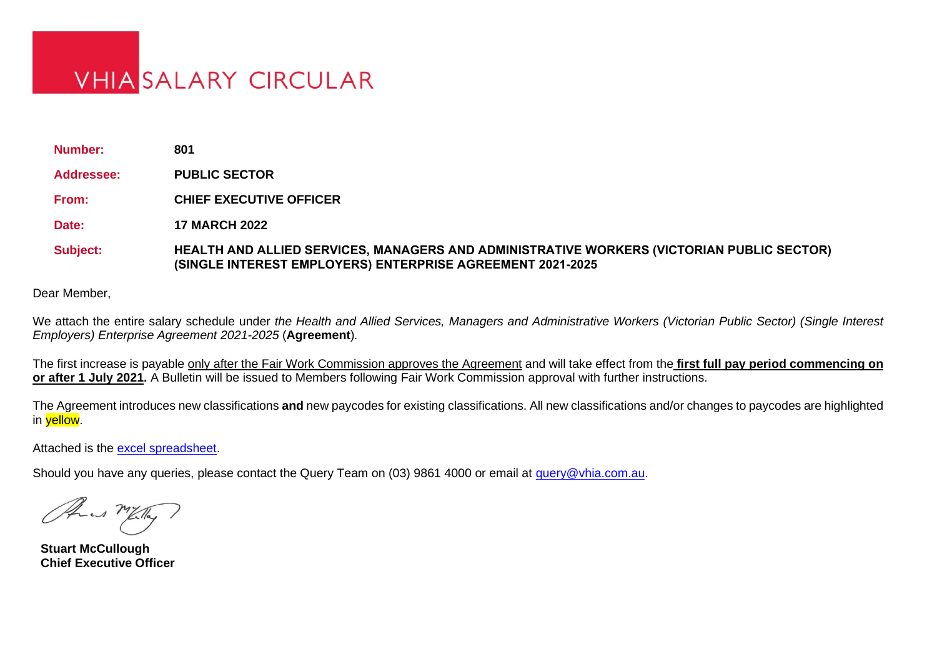# **VHIA SALARY CIRCULAR**

**Number: 801 Addressee: PUBLIC SECTOR From: CHIEF EXECUTIVE OFFICER Date: 17 MARCH 2022**

**Subject: HEALTH AND ALLIED SERVICES, MANAGERS AND ADMINISTRATIVE WORKERS (VICTORIAN PUBLIC SECTOR) (SINGLE INTEREST EMPLOYERS) ENTERPRISE AGREEMENT 2021-2025**

Dear Member,

We attach the entire salary schedule under *the Health and Allied Services, Managers and Administrative Workers (Victorian Public Sector) (Single Interest Employers) Enterprise Agreement 2021-2025* (**Agreement**)*.*

The first increase is payable only after the Fair Work Commission approves the Agreement and will take effect from the **first full pay period commencing on or after 1 July 2021.** A Bulletin will be issued to Members following Fair Work Commission approval with further instructions.

The Agreement introduces new classifications **and** new paycodes for existing classifications. All new classifications and/or changes to paycodes are highlighted in yellow.

Attached is the [excel spreadsheet.](https://www.vhia.com.au/wp-content/uploads/Circ-801-excel-salary-circular.xlsx)

Should you have any queries, please contact the Query Team on (03) 9861 4000 or email at [query@vhia.com.au.](mailto:query@vhia.com.au)

as MET

**Stuart McCullough Chief Executive Officer**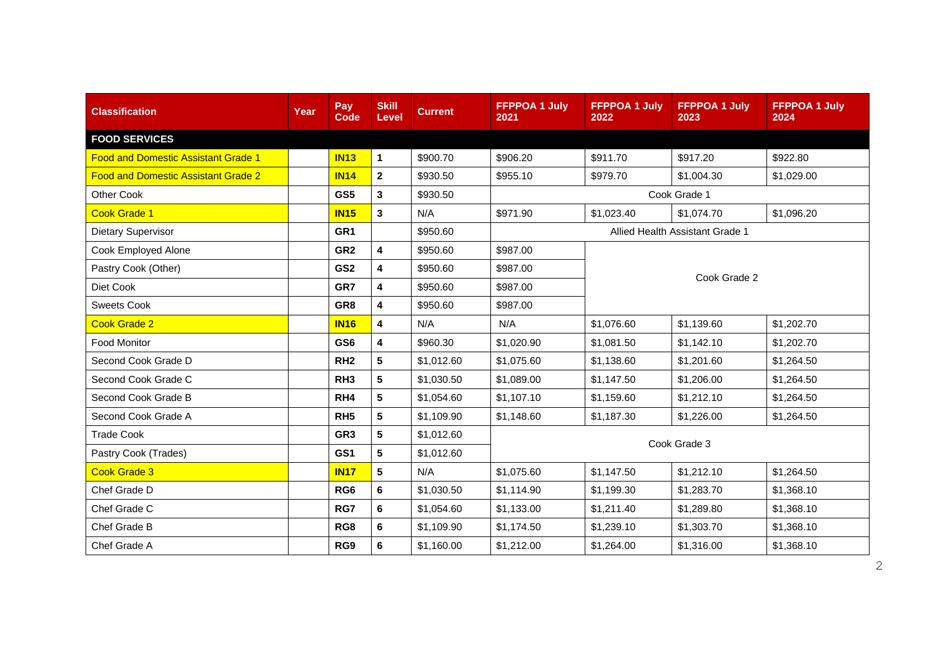| <b>Classification</b>                      | Year | Pay<br><b>Code</b> | <b>Skill</b><br>Level | <b>Current</b> | <b>FFPPOA 1 July</b><br>2021 | <b>FFPPOA 1 July</b><br>2022 | <b>FFPPOA 1 July</b><br>2023    | <b>FFPPOA 1 July</b><br>2024 |  |
|--------------------------------------------|------|--------------------|-----------------------|----------------|------------------------------|------------------------------|---------------------------------|------------------------------|--|
| <b>FOOD SERVICES</b>                       |      |                    |                       |                |                              |                              |                                 |                              |  |
| <b>Food and Domestic Assistant Grade 1</b> |      | <b>IN13</b>        | 1                     | \$900.70       | \$906.20                     | \$911.70                     | \$917.20                        | \$922.80                     |  |
| <b>Food and Domestic Assistant Grade 2</b> |      | <b>IN14</b>        | $\mathbf{2}$          | \$930.50       | \$955.10                     | \$979.70                     | \$1,004.30                      | \$1,029.00                   |  |
| Other Cook                                 |      | GS5                | 3                     | \$930.50       |                              |                              | Cook Grade 1                    |                              |  |
| <b>Cook Grade 1</b>                        |      | <b>IN15</b>        | 3                     | N/A            | \$971.90                     | \$1,023.40                   | \$1,074.70                      | \$1,096.20                   |  |
| Dietary Supervisor                         |      | GR <sub>1</sub>    |                       | \$950.60       |                              |                              | Allied Health Assistant Grade 1 |                              |  |
| Cook Employed Alone                        |      | GR <sub>2</sub>    | 4                     | \$950.60       | \$987.00                     | Cook Grade 2                 |                                 |                              |  |
| Pastry Cook (Other)                        |      | GS <sub>2</sub>    | 4                     | \$950.60       | \$987.00                     |                              |                                 |                              |  |
| Diet Cook                                  |      | GR7                | 4                     | \$950.60       | \$987.00                     |                              |                                 |                              |  |
| <b>Sweets Cook</b>                         |      | GR <sub>8</sub>    | 4                     | \$950.60       | \$987.00                     |                              |                                 |                              |  |
| <b>Cook Grade 2</b>                        |      | <b>IN16</b>        | 4                     | N/A            | N/A                          | \$1,076.60                   | \$1,139.60                      | \$1,202.70                   |  |
| <b>Food Monitor</b>                        |      | GS <sub>6</sub>    | 4                     | \$960.30       | \$1,020.90                   | \$1,081.50                   | \$1,142.10                      | \$1,202.70                   |  |
| Second Cook Grade D                        |      | RH <sub>2</sub>    | 5                     | \$1,012.60     | \$1,075.60                   | \$1,138.60                   | \$1,201.60                      | \$1,264.50                   |  |
| Second Cook Grade C                        |      | RH <sub>3</sub>    | 5                     | \$1,030.50     | \$1,089.00                   | \$1,147.50                   | \$1,206.00                      | \$1,264.50                   |  |
| Second Cook Grade B                        |      | RH <sub>4</sub>    | 5                     | \$1,054.60     | \$1,107.10                   | \$1,159.60                   | \$1,212.10                      | \$1,264.50                   |  |
| Second Cook Grade A                        |      | RH <sub>5</sub>    | 5                     | \$1,109.90     | \$1,148.60                   | \$1,187.30                   | \$1,226.00                      | \$1,264.50                   |  |
| <b>Trade Cook</b>                          |      | GR <sub>3</sub>    | 5                     | \$1,012.60     |                              |                              | Cook Grade 3                    |                              |  |
| Pastry Cook (Trades)                       |      | GS <sub>1</sub>    | 5                     | \$1,012.60     |                              |                              |                                 |                              |  |
| <b>Cook Grade 3</b>                        |      | <b>IN17</b>        | 5                     | N/A            | \$1,075.60                   | \$1,147.50                   | \$1,212.10                      | \$1,264.50                   |  |
| Chef Grade D                               |      | RG <sub>6</sub>    | 6                     | \$1,030.50     | \$1,114.90                   | \$1,199.30                   | \$1,283.70                      | \$1,368.10                   |  |
| Chef Grade C                               |      | RG7                | 6                     | \$1,054.60     | \$1,133.00                   | \$1,211.40                   | \$1,289.80                      | \$1,368.10                   |  |
| Chef Grade B                               |      | RG8                | 6                     | \$1,109.90     | \$1,174.50                   | \$1,239.10                   | \$1,303.70                      | \$1,368.10                   |  |
| Chef Grade A                               |      | RG9                | 6                     | \$1,160.00     | \$1,212.00                   | \$1,264.00                   | \$1,316.00                      | \$1,368.10                   |  |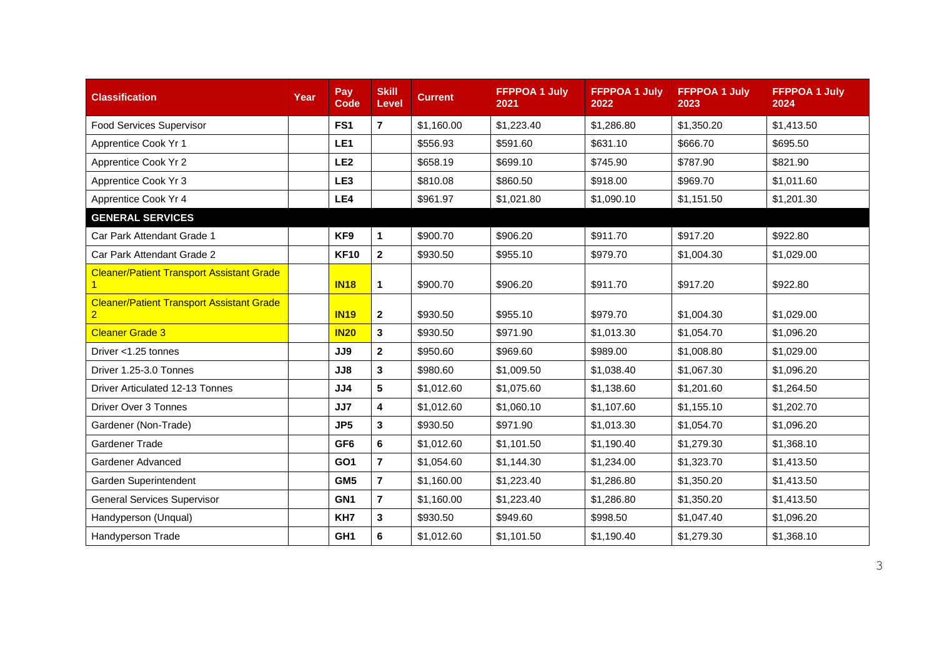| <b>Classification</b>                                 | Year | Pay<br><b>Code</b> | <b>Skill</b><br>Level   | <b>Current</b> | <b>FFPPOA 1 July</b><br>2021 | <b>FFPPOA 1 July</b><br>2022 | <b>FFPPOA 1 July</b><br>2023 | <b>FFPPOA 1 July</b><br>2024 |
|-------------------------------------------------------|------|--------------------|-------------------------|----------------|------------------------------|------------------------------|------------------------------|------------------------------|
| <b>Food Services Supervisor</b>                       |      | FS <sub>1</sub>    | $\overline{7}$          | \$1,160.00     | \$1,223.40                   | \$1,286.80                   | \$1,350.20                   | \$1,413.50                   |
| Apprentice Cook Yr 1                                  |      | LE <sub>1</sub>    |                         | \$556.93       | \$591.60                     | \$631.10                     | \$666.70                     | \$695.50                     |
| Apprentice Cook Yr 2                                  |      | LE <sub>2</sub>    |                         | \$658.19       | \$699.10                     | \$745.90                     | \$787.90                     | \$821.90                     |
| Apprentice Cook Yr 3                                  |      | LE3                |                         | \$810.08       | \$860.50                     | \$918.00                     | \$969.70                     | \$1,011.60                   |
| Apprentice Cook Yr 4                                  |      | LE4                |                         | \$961.97       | \$1,021.80                   | \$1,090.10                   | \$1,151.50                   | \$1,201.30                   |
| <b>GENERAL SERVICES</b>                               |      |                    |                         |                |                              |                              |                              |                              |
| Car Park Attendant Grade 1                            |      | KF9                | $\mathbf{1}$            | \$900.70       | \$906.20                     | \$911.70                     | \$917.20                     | \$922.80                     |
| Car Park Attendant Grade 2                            |      | <b>KF10</b>        | $\mathbf{2}$            | \$930.50       | \$955.10                     | \$979.70                     | \$1,004.30                   | \$1,029.00                   |
| <b>Cleaner/Patient Transport Assistant Grade</b>      |      | <b>IN18</b>        | $\mathbf{1}$            | \$900.70       | \$906.20                     | \$911.70                     | \$917.20                     | \$922.80                     |
| <b>Cleaner/Patient Transport Assistant Grade</b><br>2 |      | <b>IN19</b>        | $\overline{2}$          | \$930.50       | \$955.10                     | \$979.70                     | \$1,004.30                   | \$1,029.00                   |
| <b>Cleaner Grade 3</b>                                |      | <b>IN20</b>        | 3                       | \$930.50       | \$971.90                     | \$1,013.30                   | \$1,054.70                   | \$1,096.20                   |
| Driver <1.25 tonnes                                   |      | JJ9                | $\overline{2}$          | \$950.60       | \$969.60                     | \$989.00                     | \$1,008.80                   | \$1,029.00                   |
| Driver 1.25-3.0 Tonnes                                |      | JJ8                | 3                       | \$980.60       | \$1,009.50                   | \$1,038.40                   | \$1,067.30                   | \$1,096.20                   |
| <b>Driver Articulated 12-13 Tonnes</b>                |      | JJ4                | 5                       | \$1,012.60     | \$1,075.60                   | \$1,138.60                   | \$1,201.60                   | \$1,264.50                   |
| Driver Over 3 Tonnes                                  |      | JJ7                | 4                       | \$1.012.60     | \$1,060.10                   | \$1,107.60                   | \$1,155.10                   | \$1,202.70                   |
| Gardener (Non-Trade)                                  |      | JP <sub>5</sub>    | 3                       | \$930.50       | \$971.90                     | \$1,013.30                   | \$1,054.70                   | \$1,096.20                   |
| Gardener Trade                                        |      | GF <sub>6</sub>    | 6                       | \$1,012.60     | \$1,101.50                   | \$1,190.40                   | \$1,279.30                   | \$1,368.10                   |
| Gardener Advanced                                     |      | GO <sub>1</sub>    | $\overline{7}$          | \$1,054.60     | \$1,144.30                   | \$1,234.00                   | \$1,323.70                   | \$1,413.50                   |
| Garden Superintendent                                 |      | GM <sub>5</sub>    | $\overline{7}$          | \$1,160.00     | \$1,223.40                   | \$1,286.80                   | \$1,350.20                   | \$1,413.50                   |
| <b>General Services Supervisor</b>                    |      | GN <sub>1</sub>    | $\overline{\mathbf{r}}$ | \$1,160.00     | \$1,223.40                   | \$1,286.80                   | \$1,350.20                   | \$1,413.50                   |
| Handyperson (Unqual)                                  |      | KH7                | $\mathbf{3}$            | \$930.50       | \$949.60                     | \$998.50                     | \$1,047.40                   | \$1,096.20                   |
| Handyperson Trade                                     |      | GH <sub>1</sub>    | 6                       | \$1,012.60     | \$1,101.50                   | \$1,190.40                   | \$1,279.30                   | \$1,368.10                   |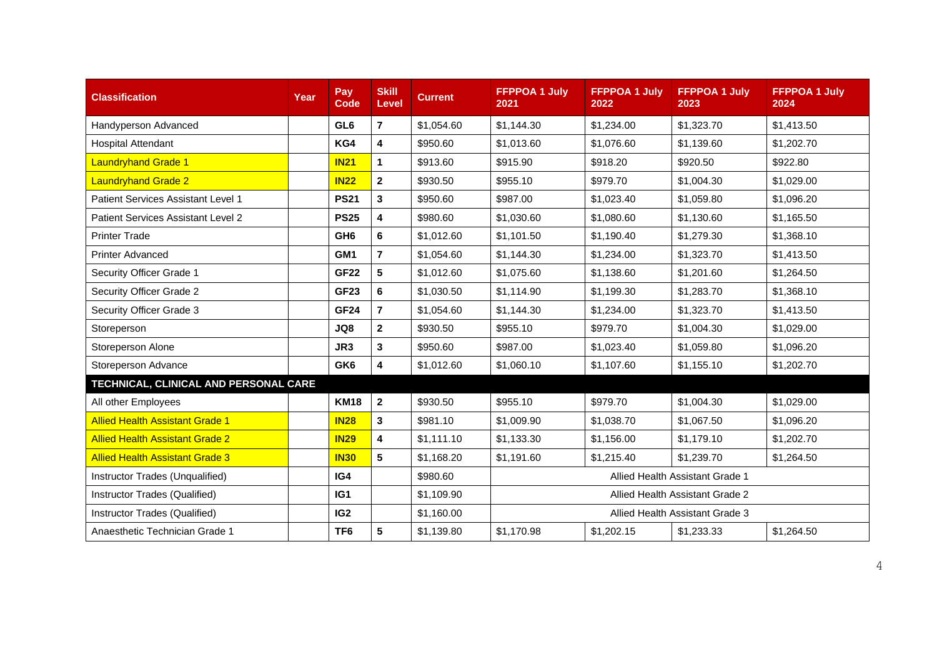| <b>Classification</b>                  | Year | Pay<br><b>Code</b> | <b>Skill</b><br>Level | <b>Current</b> | <b>FFPPOA 1 July</b><br>2021 | <b>FFPPOA 1 July</b><br>2022 | <b>FFPPOA 1 July</b><br>2023    | <b>FFPPOA 1 July</b><br>2024 |
|----------------------------------------|------|--------------------|-----------------------|----------------|------------------------------|------------------------------|---------------------------------|------------------------------|
| Handyperson Advanced                   |      | GL <sub>6</sub>    | $\overline{7}$        | \$1,054.60     | \$1,144.30                   | \$1,234.00                   | \$1,323.70                      | \$1,413.50                   |
| <b>Hospital Attendant</b>              |      | KG4                | 4                     | \$950.60       | \$1,013.60                   | \$1,076.60                   | \$1,139.60                      | \$1,202.70                   |
| <b>Laundryhand Grade 1</b>             |      | <b>IN21</b>        | $\mathbf 1$           | \$913.60       | \$915.90                     | \$918.20                     | \$920.50                        | \$922.80                     |
| <b>Laundryhand Grade 2</b>             |      | <b>IN22</b>        | $\mathbf{2}$          | \$930.50       | \$955.10                     | \$979.70                     | \$1,004.30                      | \$1,029.00                   |
| Patient Services Assistant Level 1     |      | <b>PS21</b>        | 3                     | \$950.60       | \$987.00                     | \$1,023.40                   | \$1,059.80                      | \$1,096.20                   |
| Patient Services Assistant Level 2     |      | <b>PS25</b>        | 4                     | \$980.60       | \$1,030.60                   | \$1,080.60                   | \$1,130.60                      | \$1,165.50                   |
| <b>Printer Trade</b>                   |      | GH <sub>6</sub>    | 6                     | \$1,012.60     | \$1,101.50                   | \$1,190.40                   | \$1,279.30                      | \$1,368.10                   |
| <b>Printer Advanced</b>                |      | GM <sub>1</sub>    | $\overline{7}$        | \$1,054.60     | \$1,144.30                   | \$1,234.00                   | \$1,323.70                      | \$1,413.50                   |
| Security Officer Grade 1               |      | <b>GF22</b>        | 5                     | \$1,012.60     | \$1,075.60                   | \$1,138.60                   | \$1,201.60                      | \$1,264.50                   |
| Security Officer Grade 2               |      | <b>GF23</b>        | 6                     | \$1,030.50     | \$1,114.90                   | \$1,199.30                   | \$1,283.70                      | \$1,368.10                   |
| Security Officer Grade 3               |      | <b>GF24</b>        | $\overline{7}$        | \$1,054.60     | \$1,144.30                   | \$1,234.00                   | \$1,323.70                      | \$1,413.50                   |
| Storeperson                            |      | JQ8                | $\mathbf{2}$          | \$930.50       | \$955.10                     | \$979.70                     | \$1,004.30                      | \$1,029.00                   |
| Storeperson Alone                      |      | JR3                | 3                     | \$950.60       | \$987.00                     | \$1,023.40                   | \$1,059.80                      | \$1,096.20                   |
| Storeperson Advance                    |      | GK <sub>6</sub>    | 4                     | \$1,012.60     | \$1,060.10                   | \$1,107.60                   | \$1,155.10                      | \$1,202.70                   |
| TECHNICAL, CLINICAL AND PERSONAL CARE  |      |                    |                       |                |                              |                              |                                 |                              |
| All other Employees                    |      | <b>KM18</b>        | $\mathbf{2}$          | \$930.50       | \$955.10                     | \$979.70                     | \$1,004.30                      | \$1,029.00                   |
| <b>Allied Health Assistant Grade 1</b> |      | <b>IN28</b>        | 3                     | \$981.10       | \$1,009.90                   | \$1,038.70                   | \$1,067.50                      | \$1,096.20                   |
| <b>Allied Health Assistant Grade 2</b> |      | <b>IN29</b>        | 4                     | \$1,111.10     | \$1,133.30                   | \$1,156.00                   | \$1,179.10                      | \$1,202.70                   |
| <b>Allied Health Assistant Grade 3</b> |      | <b>IN30</b>        | 5                     | \$1,168.20     | \$1,191.60                   | \$1,215.40                   | \$1,239.70                      | \$1,264.50                   |
| Instructor Trades (Unqualified)        |      | IG4                |                       | \$980.60       |                              |                              | Allied Health Assistant Grade 1 |                              |
| Instructor Trades (Qualified)          |      | IG <sub>1</sub>    |                       | \$1,109.90     |                              |                              | Allied Health Assistant Grade 2 |                              |
| Instructor Trades (Qualified)          |      | IG2                |                       | \$1,160.00     |                              |                              | Allied Health Assistant Grade 3 |                              |
| Anaesthetic Technician Grade 1         |      | TF <sub>6</sub>    | 5                     | \$1,139.80     | \$1,170.98                   | \$1,202.15                   | \$1,233.33                      | \$1,264.50                   |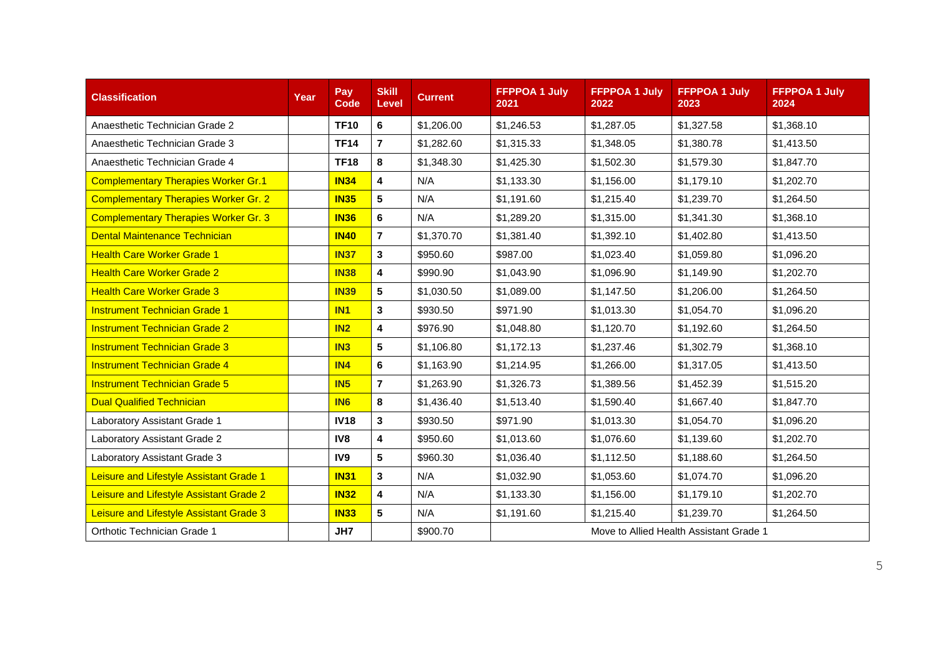| <b>Classification</b>                       | Year | Pay<br>Code     | <b>Skill</b><br>Level   | <b>Current</b> | <b>FFPPOA 1 July</b><br>2021 | <b>FFPPOA 1 July</b><br>2022 | <b>FFPPOA 1 July</b><br>2023            | <b>FFPPOA 1 July</b><br>2024 |
|---------------------------------------------|------|-----------------|-------------------------|----------------|------------------------------|------------------------------|-----------------------------------------|------------------------------|
| Anaesthetic Technician Grade 2              |      | <b>TF10</b>     | 6                       | \$1,206.00     | \$1,246.53                   | \$1,287.05                   | \$1,327.58                              | \$1,368.10                   |
| Anaesthetic Technician Grade 3              |      | <b>TF14</b>     | $\overline{7}$          | \$1,282.60     | \$1,315.33                   | \$1,348.05                   | \$1,380.78                              | \$1,413.50                   |
| Anaesthetic Technician Grade 4              |      | <b>TF18</b>     | 8                       | \$1,348.30     | \$1,425.30                   | \$1,502.30                   | \$1,579.30                              | \$1,847.70                   |
| <b>Complementary Therapies Worker Gr.1</b>  |      | <b>IN34</b>     | 4                       | N/A            | \$1,133.30                   | \$1,156.00                   | \$1,179.10                              | \$1,202.70                   |
| <b>Complementary Therapies Worker Gr. 2</b> |      | <b>IN35</b>     | 5                       | N/A            | \$1,191.60                   | \$1,215.40                   | \$1,239.70                              | \$1,264.50                   |
| <b>Complementary Therapies Worker Gr. 3</b> |      | <b>IN36</b>     | 6                       | N/A            | \$1,289.20                   | \$1,315.00                   | \$1,341.30                              | \$1,368.10                   |
| <b>Dental Maintenance Technician</b>        |      | <b>IN40</b>     | $\overline{7}$          | \$1,370.70     | \$1,381.40                   | \$1,392.10                   | \$1,402.80                              | \$1,413.50                   |
| <b>Health Care Worker Grade 1</b>           |      | <b>IN37</b>     | $\mathbf{3}$            | \$950.60       | \$987.00                     | \$1,023.40                   | \$1,059.80                              | \$1,096.20                   |
| <b>Health Care Worker Grade 2</b>           |      | <b>IN38</b>     | $\overline{\mathbf{4}}$ | \$990.90       | \$1,043.90                   | \$1,096.90                   | \$1,149.90                              | \$1,202.70                   |
| <b>Health Care Worker Grade 3</b>           |      | <b>IN39</b>     | $5\phantom{.0}$         | \$1,030.50     | \$1,089.00                   | \$1,147.50                   | \$1,206.00                              | \$1,264.50                   |
| <b>Instrument Technician Grade 1</b>        |      | IN <sub>1</sub> | 3                       | \$930.50       | \$971.90                     | \$1,013.30                   | \$1,054.70                              | \$1,096.20                   |
| <b>Instrument Technician Grade 2</b>        |      | IN2             | $\overline{\mathbf{4}}$ | \$976.90       | \$1,048.80                   | \$1,120.70                   | \$1,192.60                              | \$1,264.50                   |
| <b>Instrument Technician Grade 3</b>        |      | IN3             | $5\phantom{.0}$         | \$1,106.80     | \$1,172.13                   | \$1,237.46                   | \$1,302.79                              | \$1,368.10                   |
| <b>Instrument Technician Grade 4</b>        |      | IN4             | 6                       | \$1,163.90     | \$1,214.95                   | \$1,266.00                   | \$1,317.05                              | \$1,413.50                   |
| <b>Instrument Technician Grade 5</b>        |      | IN5             | $\overline{7}$          | \$1,263.90     | \$1,326.73                   | \$1,389.56                   | \$1,452.39                              | \$1,515.20                   |
| <b>Dual Qualified Technician</b>            |      | IN <sub>6</sub> | 8                       | \$1,436.40     | \$1,513.40                   | \$1,590.40                   | \$1,667.40                              | \$1,847.70                   |
| Laboratory Assistant Grade 1                |      | <b>IV18</b>     | 3                       | \$930.50       | \$971.90                     | \$1,013.30                   | \$1,054.70                              | \$1,096.20                   |
| Laboratory Assistant Grade 2                |      | IV8             | 4                       | \$950.60       | \$1,013.60                   | \$1,076.60                   | \$1,139.60                              | \$1,202.70                   |
| Laboratory Assistant Grade 3                |      | IV9             | 5                       | \$960.30       | \$1,036.40                   | \$1,112.50                   | \$1,188.60                              | \$1,264.50                   |
| Leisure and Lifestyle Assistant Grade 1     |      | <b>IN31</b>     | $\mathbf{3}$            | N/A            | \$1,032.90                   | \$1,053.60                   | \$1,074.70                              | \$1,096.20                   |
| Leisure and Lifestyle Assistant Grade 2     |      | <b>IN32</b>     | 4                       | N/A            | \$1,133.30                   | \$1,156.00                   | \$1,179.10                              | \$1,202.70                   |
| Leisure and Lifestyle Assistant Grade 3     |      | <b>IN33</b>     | $5\phantom{.0}$         | N/A            | \$1,191.60                   | \$1,215.40                   | \$1,239.70                              | \$1,264.50                   |
| Orthotic Technician Grade 1                 |      | JH7             |                         | \$900.70       |                              |                              | Move to Allied Health Assistant Grade 1 |                              |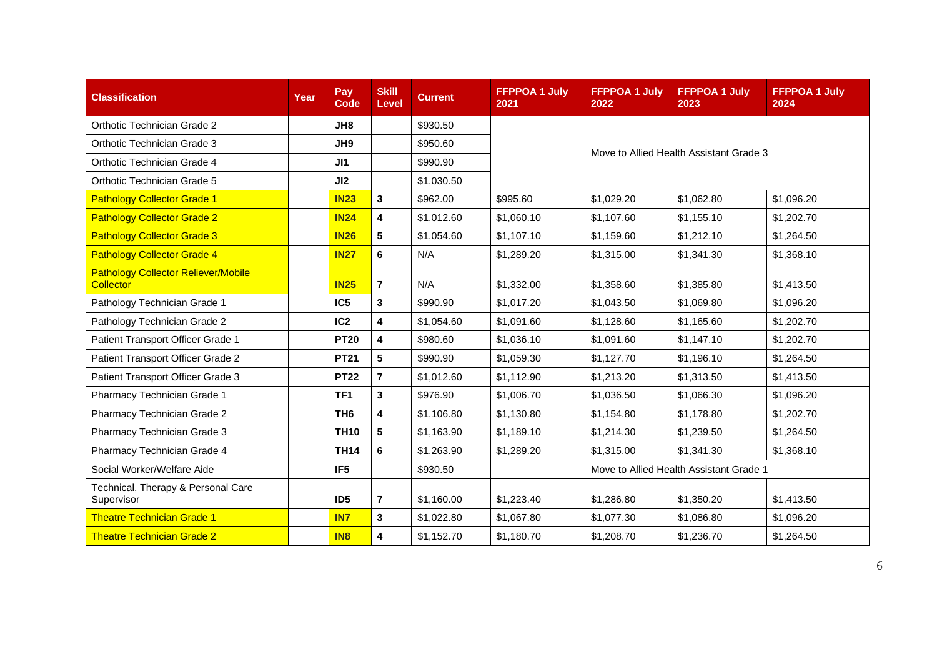| <b>Classification</b>                                          | Year | Pay<br><b>Code</b> | <b>Skill</b><br>Level   | <b>Current</b> | <b>FFPPOA 1 July</b><br>2021            | <b>FFPPOA 1 July</b><br>2022 | <b>FFPPOA 1 July</b><br>2023            | <b>FFPPOA 1 July</b><br>2024 |  |
|----------------------------------------------------------------|------|--------------------|-------------------------|----------------|-----------------------------------------|------------------------------|-----------------------------------------|------------------------------|--|
| Orthotic Technician Grade 2                                    |      | JH8                |                         | \$930.50       |                                         |                              |                                         |                              |  |
| Orthotic Technician Grade 3                                    |      | JH9                |                         | \$950.60       | Move to Allied Health Assistant Grade 3 |                              |                                         |                              |  |
| Orthotic Technician Grade 4                                    |      | J11                |                         | \$990.90       |                                         |                              |                                         |                              |  |
| Orthotic Technician Grade 5                                    |      | JI2                |                         | \$1,030.50     |                                         |                              |                                         |                              |  |
| <b>Pathology Collector Grade 1</b>                             |      | <b>IN23</b>        | $\mathbf{3}$            | \$962.00       | \$995.60                                | \$1,029.20                   | \$1,062.80                              | \$1,096.20                   |  |
| <b>Pathology Collector Grade 2</b>                             |      | <b>IN24</b>        | 4                       | \$1,012.60     | \$1,060.10                              | \$1,107.60                   | \$1,155.10                              | \$1,202.70                   |  |
| <b>Pathology Collector Grade 3</b>                             |      | <b>IN26</b>        | 5                       | \$1,054.60     | \$1,107.10                              | \$1,159.60                   | \$1,212.10                              | \$1,264.50                   |  |
| <b>Pathology Collector Grade 4</b>                             |      | <b>IN27</b>        | 6                       | N/A            | \$1,289.20                              | \$1,315.00                   | \$1,341.30                              | \$1,368.10                   |  |
| <b>Pathology Collector Reliever/Mobile</b><br><b>Collector</b> |      | <b>IN25</b>        | $\overline{\mathbf{r}}$ | N/A            | \$1,332.00                              | \$1,358.60                   | \$1,385.80                              | \$1,413.50                   |  |
| Pathology Technician Grade 1                                   |      | IC <sub>5</sub>    | $\mathbf{3}$            | \$990.90       | \$1,017.20                              | \$1,043.50                   | \$1,069.80                              | \$1,096.20                   |  |
| Pathology Technician Grade 2                                   |      | IC <sub>2</sub>    | 4                       | \$1,054.60     | \$1,091.60                              | \$1,128.60                   | \$1,165.60                              | \$1,202.70                   |  |
| Patient Transport Officer Grade 1                              |      | <b>PT20</b>        | 4                       | \$980.60       | \$1,036.10                              | \$1,091.60                   | \$1,147.10                              | \$1,202.70                   |  |
| Patient Transport Officer Grade 2                              |      | <b>PT21</b>        | 5                       | \$990.90       | \$1.059.30                              | \$1,127.70                   | \$1.196.10                              | \$1,264.50                   |  |
| Patient Transport Officer Grade 3                              |      | <b>PT22</b>        | $\overline{7}$          | \$1,012.60     | \$1,112.90                              | \$1,213.20                   | \$1,313.50                              | \$1,413.50                   |  |
| Pharmacy Technician Grade 1                                    |      | TF <sub>1</sub>    | 3                       | \$976.90       | \$1,006.70                              | \$1,036.50                   | \$1,066.30                              | \$1,096.20                   |  |
| Pharmacy Technician Grade 2                                    |      | TH <sub>6</sub>    | 4                       | \$1,106.80     | \$1,130.80                              | \$1,154.80                   | \$1,178.80                              | \$1,202.70                   |  |
| Pharmacy Technician Grade 3                                    |      | <b>TH10</b>        | 5                       | \$1,163.90     | \$1,189.10                              | \$1,214.30                   | \$1,239.50                              | \$1,264.50                   |  |
| Pharmacy Technician Grade 4                                    |      | <b>TH14</b>        | 6                       | \$1,263.90     | \$1,289.20                              | \$1,315.00                   | \$1,341.30                              | \$1,368.10                   |  |
| Social Worker/Welfare Aide                                     |      | IF <sub>5</sub>    |                         | \$930.50       |                                         |                              | Move to Allied Health Assistant Grade 1 |                              |  |
| Technical, Therapy & Personal Care<br>Supervisor               |      | ID <sub>5</sub>    | $\overline{\mathbf{r}}$ | \$1,160.00     | \$1,223.40                              | \$1,286.80                   | \$1,350.20                              | \$1,413.50                   |  |
| <b>Theatre Technician Grade 1</b>                              |      | IN <sub>7</sub>    | $\mathbf{3}$            | \$1,022.80     | \$1,067.80                              | \$1,077.30                   | \$1,086.80                              | \$1,096.20                   |  |
| <b>Theatre Technician Grade 2</b>                              |      | <b>IN8</b>         | 4                       | \$1,152.70     | \$1,180.70                              | \$1,208.70                   | \$1,236.70                              | \$1,264.50                   |  |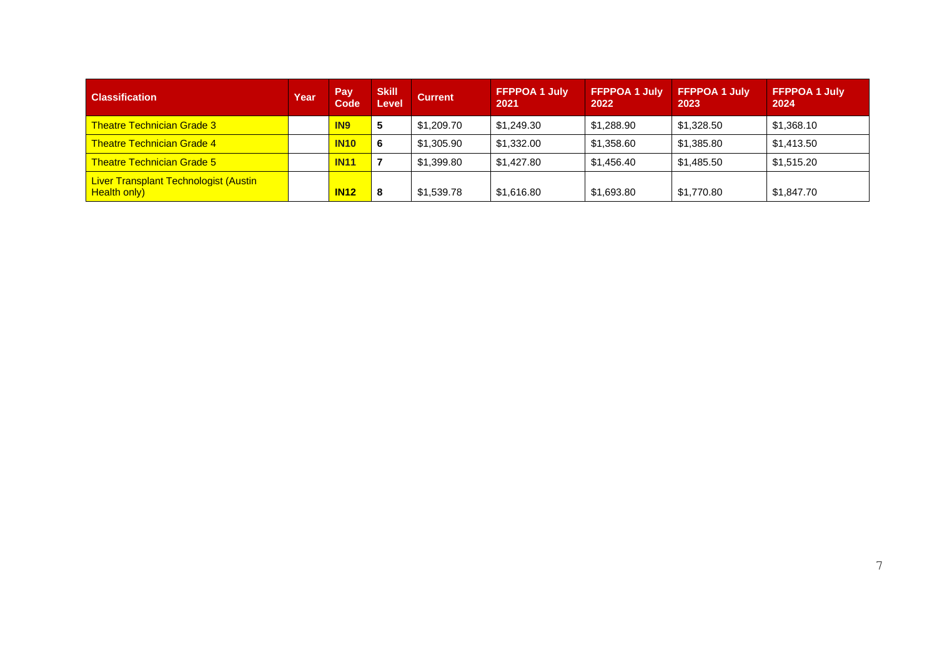| <b>Classification</b>                                               | Year | Pay<br>Code     | <b>Skill</b><br>Level | <b>Current</b> | <b>FFPPOA 1 July</b><br>2021 | <b>FFPPOA 1 July</b><br>2022 | <b>FFPPOA 1 July</b><br>2023 | <b>FFPPOA 1 July</b><br>2024 |
|---------------------------------------------------------------------|------|-----------------|-----------------------|----------------|------------------------------|------------------------------|------------------------------|------------------------------|
| <b>Theatre Technician Grade 3</b>                                   |      | IN <sub>9</sub> | 5                     | \$1,209.70     | \$1,249.30                   | \$1,288.90                   | \$1,328.50                   | \$1,368.10                   |
| <b>Theatre Technician Grade 4</b>                                   |      | <b>IN10</b>     | 6                     | \$1,305.90     | \$1,332.00                   | \$1,358.60                   | \$1,385.80                   | \$1,413.50                   |
| <b>Theatre Technician Grade 5</b>                                   |      | <b>IN11</b>     |                       | \$1,399.80     | \$1,427.80                   | \$1.456.40                   | \$1,485.50                   | \$1,515.20                   |
| <b>Liver Transplant Technologist (Austin</b><br><b>Health only)</b> |      | <b>IN12</b>     | 8                     | \$1,539.78     | \$1,616.80                   | \$1,693.80                   | \$1,770.80                   | \$1,847.70                   |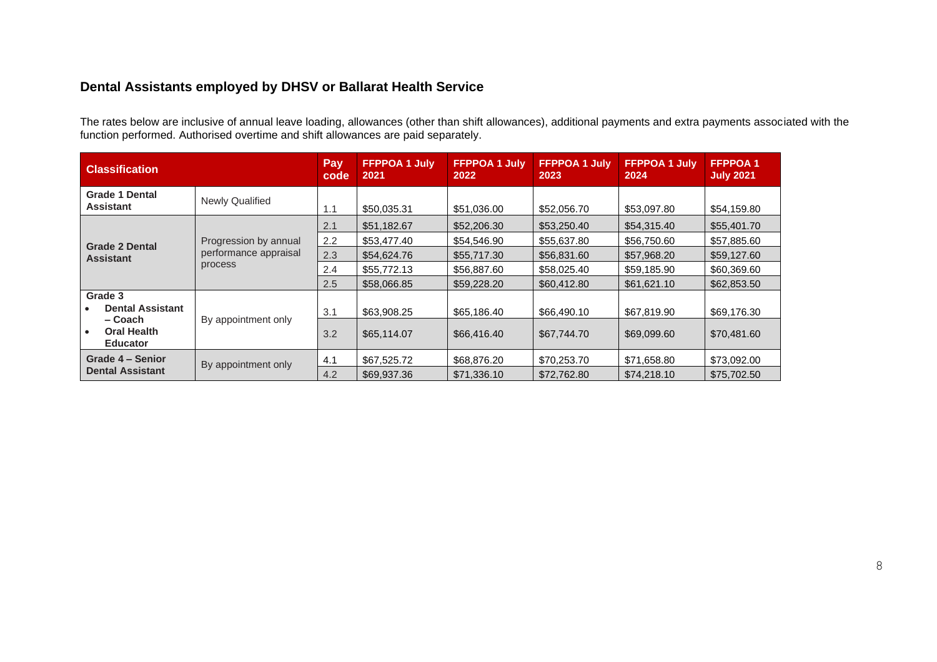#### **Dental Assistants employed by DHSV or Ballarat Health Service**

The rates below are inclusive of annual leave loading, allowances (other than shift allowances), additional payments and extra payments associated with the function performed. Authorised overtime and shift allowances are paid separately.

| <b>Classification</b>                            |                        | Pay<br>code | <b>FFPPOA 1 July</b><br>2021 | <b>FFPPOA 1 July</b><br>2022 | <b>FFPPOA 1 July</b><br>2023 | <b>FFPPOA 1 July</b><br>2024 | <b>FFPPOA1</b><br><b>July 2021</b> |
|--------------------------------------------------|------------------------|-------------|------------------------------|------------------------------|------------------------------|------------------------------|------------------------------------|
| <b>Grade 1 Dental</b><br><b>Assistant</b>        | <b>Newly Qualified</b> | 1.1         | \$50,035.31                  | \$51,036.00                  | \$52,056.70                  | \$53,097.80                  | \$54,159.80                        |
|                                                  |                        | 2.1         | \$51,182.67                  | \$52,206.30                  | \$53,250.40                  | \$54,315.40                  | \$55,401.70                        |
| <b>Grade 2 Dental</b>                            | Progression by annual  | 2.2         | \$53,477.40                  | \$54,546.90                  | \$55,637.80                  | \$56,750.60                  | \$57,885.60                        |
| performance appraisal<br><b>Assistant</b>        |                        | 2.3         | \$54,624.76                  | \$55,717.30                  | \$56,831.60                  | \$57,968.20                  | \$59,127.60                        |
|                                                  | process                | 2.4         | \$55,772.13                  | \$56,887.60                  | \$58,025.40                  | \$59,185.90                  | \$60,369.60                        |
|                                                  |                        | 2.5         | \$58,066.85                  | \$59,228.20                  | \$60,412.80                  | \$61,621.10                  | \$62,853.50                        |
| Grade 3                                          |                        |             |                              |                              |                              |                              |                                    |
| <b>Dental Assistant</b>                          |                        | 3.1         | \$63,908.25                  | \$65,186.40                  | \$66,490,10                  | \$67,819.90                  | \$69,176.30                        |
| – Coach<br><b>Oral Health</b><br><b>Educator</b> | By appointment only    | 3.2         | \$65,114.07                  | \$66,416.40                  | \$67,744.70                  | \$69,099.60                  | \$70,481.60                        |
| Grade 4 - Senior                                 |                        | 4.1         | \$67,525.72                  | \$68,876.20                  | \$70,253.70                  | \$71,658.80                  | \$73,092.00                        |
| <b>Dental Assistant</b>                          | By appointment only    | 4.2         | \$69,937.36                  | \$71,336.10                  | \$72,762.80                  | \$74,218.10                  | \$75,702.50                        |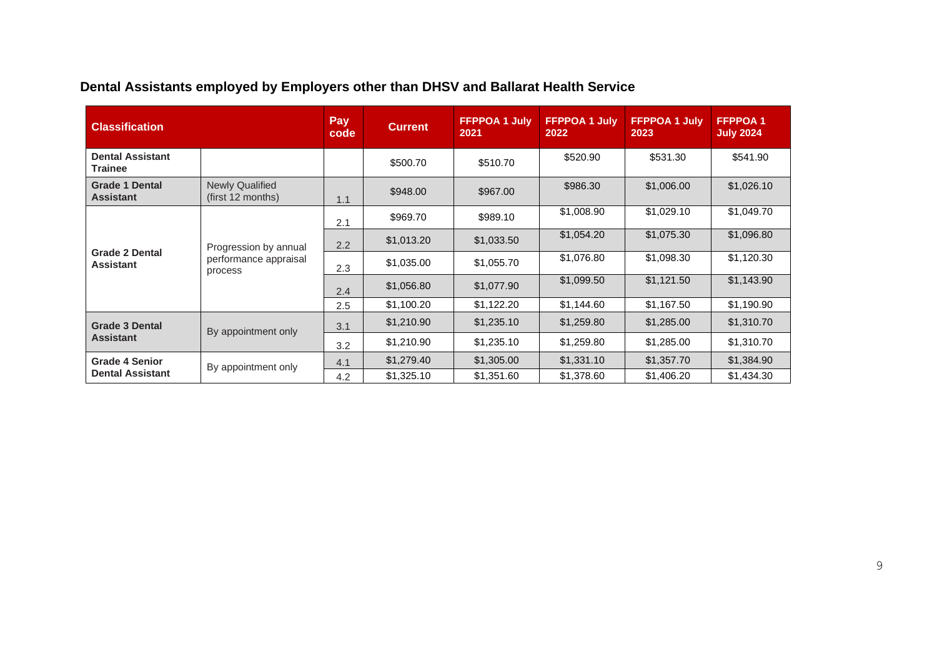|  |  | Dental Assistants employed by Employers other than DHSV and Ballarat Health Service |
|--|--|-------------------------------------------------------------------------------------|
|--|--|-------------------------------------------------------------------------------------|

| <b>Classification</b>                     |                                                           | Pay<br>code | <b>Current</b> | <b>FFPPOA 1 July</b><br>2021 | <b>FFPPOA 1 July</b><br>2022 | <b>FFPPOA 1 July</b><br>2023 | <b>FFPPOA1</b><br><b>July 2024</b> |
|-------------------------------------------|-----------------------------------------------------------|-------------|----------------|------------------------------|------------------------------|------------------------------|------------------------------------|
| <b>Dental Assistant</b><br><b>Trainee</b> |                                                           |             | \$500.70       | \$510.70                     | \$520.90                     | \$531.30                     | \$541.90                           |
| <b>Grade 1 Dental</b><br><b>Assistant</b> | <b>Newly Qualified</b><br>(first 12 months)               | 1.1         | \$948.00       | \$967.00                     | \$986.30                     | \$1,006.00                   | \$1,026.10                         |
|                                           | Progression by annual<br>performance appraisal<br>process | 2.1         | \$969.70       | \$989.10                     | \$1,008.90                   | \$1,029.10                   | \$1,049.70                         |
|                                           |                                                           | 2.2         | \$1,013.20     | \$1,033.50                   | \$1,054.20                   | \$1,075.30                   | \$1,096.80                         |
| <b>Grade 2 Dental</b><br><b>Assistant</b> |                                                           | 2.3         | \$1,035.00     | \$1,055.70                   | \$1,076.80                   | \$1,098.30                   | \$1,120.30                         |
|                                           |                                                           | 2.4         | \$1,056.80     | \$1,077.90                   | \$1,099.50                   | \$1,121.50                   | \$1,143.90                         |
|                                           |                                                           | 2.5         | \$1,100.20     | \$1,122.20                   | \$1,144.60                   | \$1,167.50                   | \$1,190.90                         |
| <b>Grade 3 Dental</b>                     | By appointment only                                       | 3.1         | \$1,210.90     | \$1,235.10                   | \$1,259.80                   | \$1,285.00                   | \$1,310.70                         |
| <b>Assistant</b>                          |                                                           | 3.2         | \$1,210.90     | \$1,235.10                   | \$1,259.80                   | \$1,285.00                   | \$1,310.70                         |
| <b>Grade 4 Senior</b>                     | By appointment only                                       | 4.1         | \$1,279.40     | \$1,305.00                   | \$1,331.10                   | \$1,357.70                   | \$1,384.90                         |
| <b>Dental Assistant</b>                   |                                                           | 4.2         | \$1,325.10     | \$1,351.60                   | \$1,378.60                   | \$1,406.20                   | \$1,434.30                         |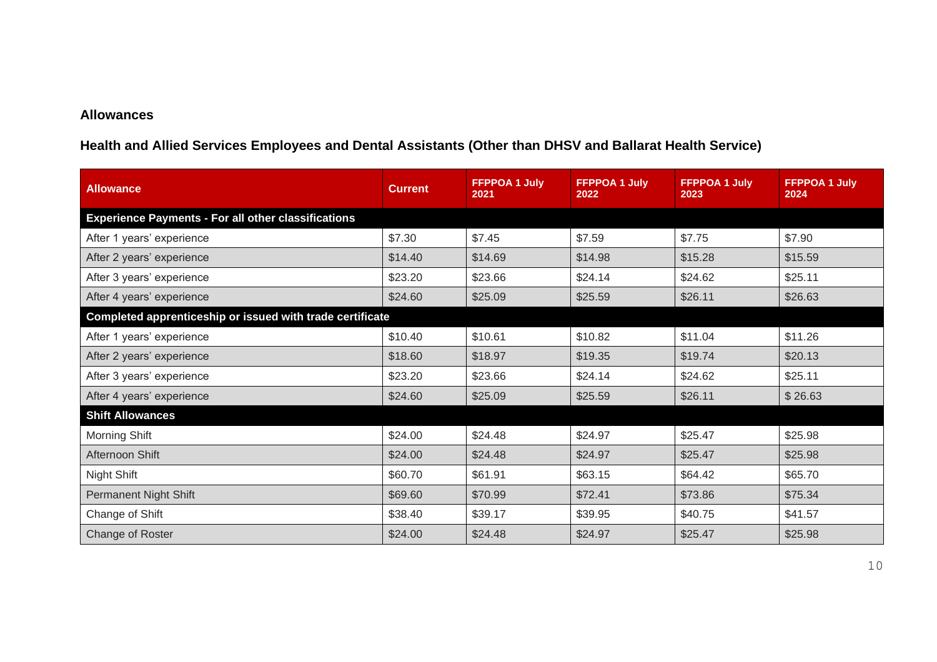#### **Allowances**

**Health and Allied Services Employees and Dental Assistants (Other than DHSV and Ballarat Health Service)**

| <b>Allowance</b>                                           | <b>Current</b> | <b>FFPPOA 1 July</b><br>2021 | <b>FFPPOA 1 July</b><br>2022 | <b>FFPPOA 1 July</b><br>2023 | <b>FFPPOA 1 July</b><br>2024 |
|------------------------------------------------------------|----------------|------------------------------|------------------------------|------------------------------|------------------------------|
| <b>Experience Payments - For all other classifications</b> |                |                              |                              |                              |                              |
| After 1 years' experience                                  | \$7.30         | \$7.45                       | \$7.59                       | \$7.75                       | \$7.90                       |
| After 2 years' experience                                  | \$14.40        | \$14.69                      | \$14.98                      | \$15.28                      | \$15.59                      |
| After 3 years' experience                                  | \$23.20        | \$23.66                      | \$24.14                      | \$24.62                      | \$25.11                      |
| After 4 years' experience                                  | \$24.60        | \$25.09                      | \$25.59                      | \$26.11                      | \$26.63                      |
| Completed apprenticeship or issued with trade certificate  |                |                              |                              |                              |                              |
| After 1 years' experience                                  | \$10.40        | \$10.61                      | \$10.82                      | \$11.04                      | \$11.26                      |
| After 2 years' experience                                  | \$18.60        | \$18.97                      | \$19.35                      | \$19.74                      | \$20.13                      |
| After 3 years' experience                                  | \$23.20        | \$23.66                      | \$24.14                      | \$24.62                      | \$25.11                      |
| After 4 years' experience                                  | \$24.60        | \$25.09                      | \$25.59                      | \$26.11                      | \$26.63                      |
| <b>Shift Allowances</b>                                    |                |                              |                              |                              |                              |
| <b>Morning Shift</b>                                       | \$24.00        | \$24.48                      | \$24.97                      | \$25.47                      | \$25.98                      |
| Afternoon Shift                                            | \$24.00        | \$24.48                      | \$24.97                      | \$25.47                      | \$25.98                      |
| Night Shift                                                | \$60.70        | \$61.91                      | \$63.15                      | \$64.42                      | \$65.70                      |
| <b>Permanent Night Shift</b>                               | \$69.60        | \$70.99                      | \$72.41                      | \$73.86                      | \$75.34                      |
| Change of Shift                                            | \$38.40        | \$39.17                      | \$39.95                      | \$40.75                      | \$41.57                      |
| Change of Roster                                           | \$24.00        | \$24.48                      | \$24.97                      | \$25.47                      | \$25.98                      |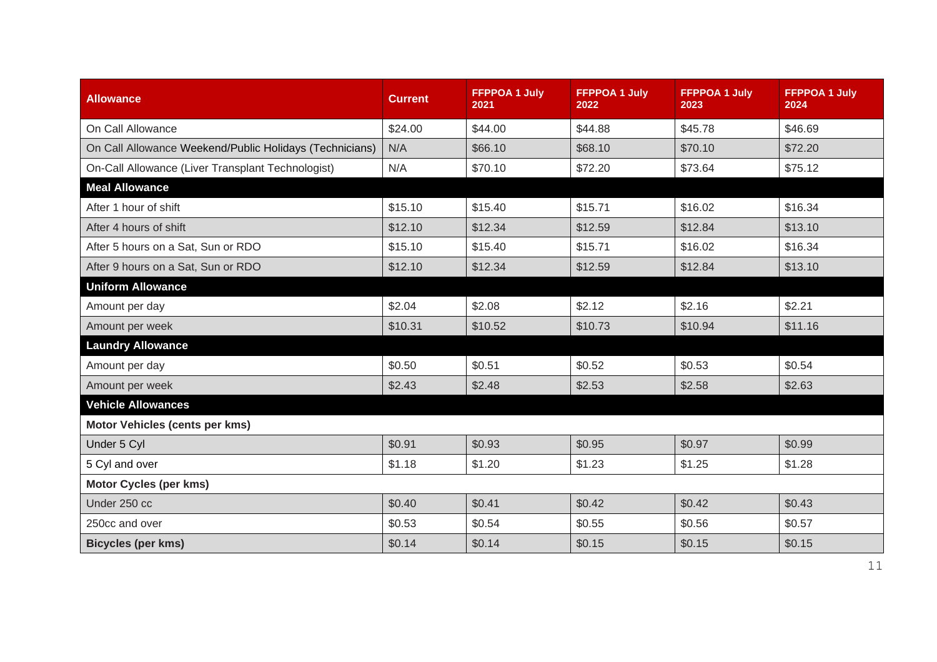| <b>Allowance</b>                                        | <b>Current</b> | <b>FFPPOA 1 July</b><br>2021 | <b>FFPPOA 1 July</b><br>2022 | <b>FFPPOA 1 July</b><br>2023 | <b>FFPPOA 1 July</b><br>2024 |
|---------------------------------------------------------|----------------|------------------------------|------------------------------|------------------------------|------------------------------|
| On Call Allowance                                       | \$24.00        | \$44.00                      | \$44.88                      | \$45.78                      | \$46.69                      |
| On Call Allowance Weekend/Public Holidays (Technicians) | N/A            | \$66.10                      | \$68.10                      | \$70.10                      | \$72.20                      |
| On-Call Allowance (Liver Transplant Technologist)       | N/A            | \$70.10                      | \$72.20                      | \$73.64                      | \$75.12                      |
| <b>Meal Allowance</b>                                   |                |                              |                              |                              |                              |
| After 1 hour of shift                                   | \$15.10        | \$15.40                      | \$15.71                      | \$16.02                      | \$16.34                      |
| After 4 hours of shift                                  | \$12.10        | \$12.34                      | \$12.59                      | \$12.84                      | \$13.10                      |
| After 5 hours on a Sat, Sun or RDO                      | \$15.10        | \$15.40                      | \$15.71                      | \$16.02                      | \$16.34                      |
| After 9 hours on a Sat, Sun or RDO                      | \$12.10        | \$12.34                      | \$12.59                      | \$12.84                      | \$13.10                      |
| <b>Uniform Allowance</b>                                |                |                              |                              |                              |                              |
| Amount per day                                          | \$2.04         | \$2.08                       | \$2.12                       | \$2.16                       | \$2.21                       |
| Amount per week                                         | \$10.31        | \$10.52                      | \$10.73                      | \$10.94                      | \$11.16                      |
| <b>Laundry Allowance</b>                                |                |                              |                              |                              |                              |
| Amount per day                                          | \$0.50         | \$0.51                       | \$0.52                       | \$0.53                       | \$0.54                       |
| Amount per week                                         | \$2.43         | \$2.48                       | \$2.53                       | \$2.58                       | \$2.63                       |
| <b>Vehicle Allowances</b>                               |                |                              |                              |                              |                              |
| <b>Motor Vehicles (cents per kms)</b>                   |                |                              |                              |                              |                              |
| Under 5 Cyl                                             | \$0.91         | \$0.93                       | \$0.95                       | \$0.97                       | \$0.99                       |
| 5 Cyl and over                                          | \$1.18         | \$1.20                       | \$1.23                       | \$1.25                       | \$1.28                       |
| <b>Motor Cycles (per kms)</b>                           |                |                              |                              |                              |                              |
| Under 250 cc                                            | \$0.40         | \$0.41                       | \$0.42                       | \$0.42                       | \$0.43                       |
| 250cc and over                                          | \$0.53         | \$0.54                       | \$0.55                       | \$0.56                       | \$0.57                       |
| <b>Bicycles (per kms)</b>                               | \$0.14         | \$0.14                       | \$0.15                       | \$0.15                       | \$0.15                       |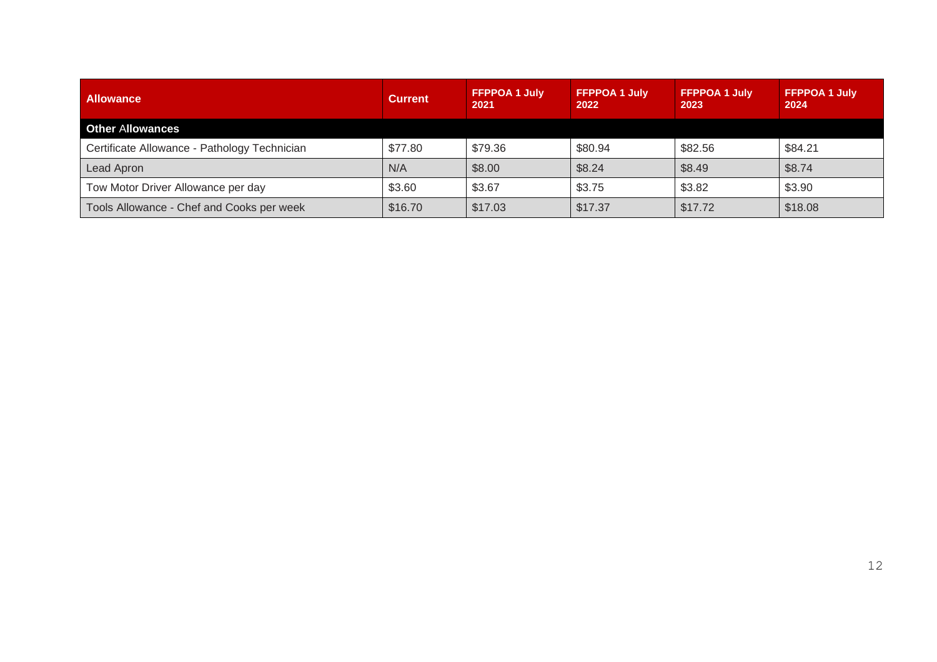| <b>Allowance</b>                             | <b>Current</b> | <b>FFPPOA 1 July</b><br>2021 | <b>FFPPOA 1 July</b><br>2022 | <b>FFPPOA 1 July</b><br>2023 | <b>FFPPOA 1 July</b><br>2024 |
|----------------------------------------------|----------------|------------------------------|------------------------------|------------------------------|------------------------------|
| <b>Other Allowances</b>                      |                |                              |                              |                              |                              |
| Certificate Allowance - Pathology Technician | \$77.80        | \$79.36                      | \$80.94                      | \$82.56                      | \$84.21                      |
| Lead Apron                                   | N/A            | \$8.00                       | \$8.24                       | \$8.49                       | \$8.74                       |
| Tow Motor Driver Allowance per day           | \$3.60         | \$3.67                       | \$3.75                       | \$3.82                       | \$3.90                       |
| Tools Allowance - Chef and Cooks per week    | \$16.70        | \$17.03                      | \$17.37                      | \$17.72                      | \$18.08                      |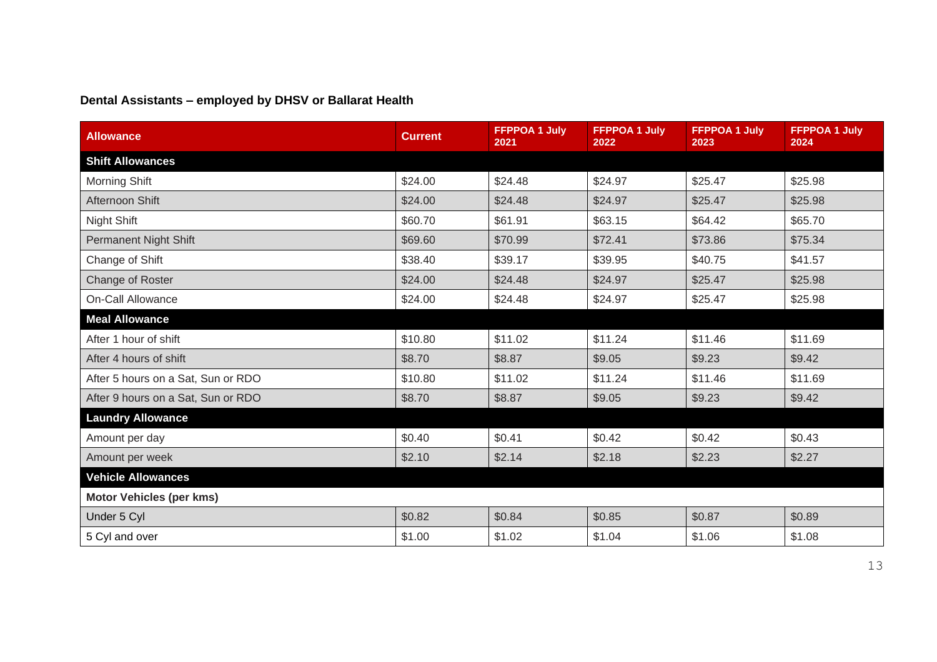### **Dental Assistants – employed by DHSV or Ballarat Health**

| <b>Allowance</b>                   | <b>Current</b> | <b>FFPPOA 1 July</b><br>2021 | <b>FFPPOA 1 July</b><br>2022 | <b>FFPPOA 1 July</b><br>2023 | <b>FFPPOA 1 July</b><br>2024 |
|------------------------------------|----------------|------------------------------|------------------------------|------------------------------|------------------------------|
| <b>Shift Allowances</b>            |                |                              |                              |                              |                              |
| <b>Morning Shift</b>               | \$24.00        | \$24.48                      | \$24.97                      | \$25.47                      | \$25.98                      |
| Afternoon Shift                    | \$24.00        | \$24.48                      | \$24.97                      | \$25.47                      | \$25.98                      |
| Night Shift                        | \$60.70        | \$61.91                      | \$63.15                      | \$64.42                      | \$65.70                      |
| <b>Permanent Night Shift</b>       | \$69.60        | \$70.99                      | \$72.41                      | \$73.86                      | \$75.34                      |
| Change of Shift                    | \$38.40        | \$39.17                      | \$39.95                      | \$40.75                      | \$41.57                      |
| Change of Roster                   | \$24.00        | \$24.48                      | \$24.97                      | \$25.47                      | \$25.98                      |
| <b>On-Call Allowance</b>           | \$24.00        | \$24.48                      | \$24.97                      | \$25.47                      | \$25.98                      |
| <b>Meal Allowance</b>              |                |                              |                              |                              |                              |
| After 1 hour of shift              | \$10.80        | \$11.02                      | \$11.24                      | \$11.46                      | \$11.69                      |
| After 4 hours of shift             | \$8.70         | \$8.87                       | \$9.05                       | \$9.23                       | \$9.42                       |
| After 5 hours on a Sat, Sun or RDO | \$10.80        | \$11.02                      | \$11.24                      | \$11.46                      | \$11.69                      |
| After 9 hours on a Sat, Sun or RDO | \$8.70         | \$8.87                       | \$9.05                       | \$9.23                       | \$9.42                       |
| <b>Laundry Allowance</b>           |                |                              |                              |                              |                              |
| Amount per day                     | \$0.40         | \$0.41                       | \$0.42                       | \$0.42                       | \$0.43                       |
| Amount per week                    | \$2.10         | \$2.14                       | \$2.18                       | \$2.23                       | \$2.27                       |
| <b>Vehicle Allowances</b>          |                |                              |                              |                              |                              |
| <b>Motor Vehicles (per kms)</b>    |                |                              |                              |                              |                              |
| Under 5 Cyl                        | \$0.82         | \$0.84                       | \$0.85                       | \$0.87                       | \$0.89                       |
| 5 Cyl and over                     | \$1.00         | \$1.02                       | \$1.04                       | \$1.06                       | \$1.08                       |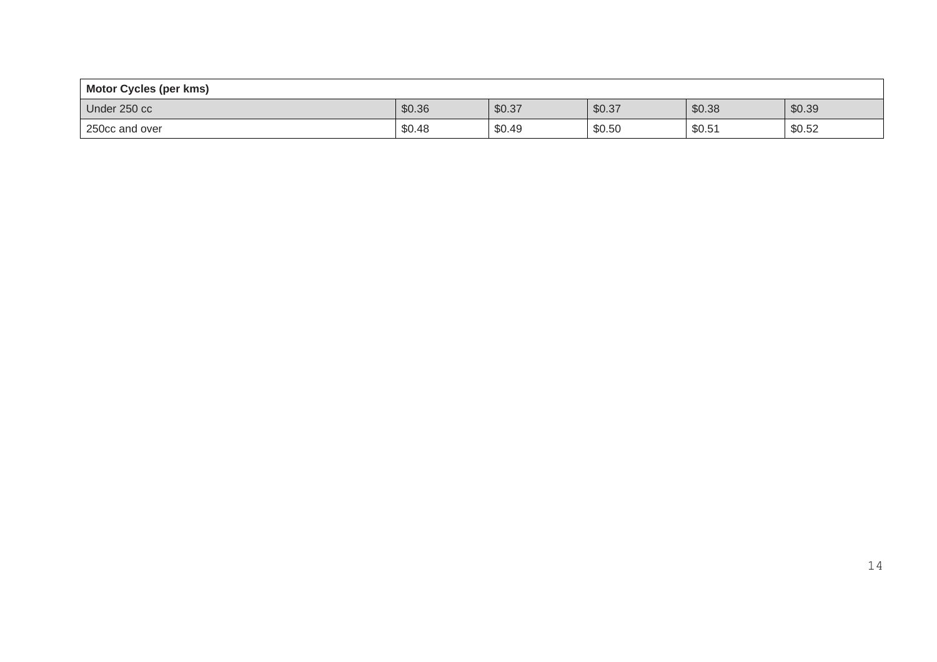| <b>Motor Cycles (per kms)</b> |        |        |        |        |        |
|-------------------------------|--------|--------|--------|--------|--------|
| Under 250 cc                  | \$0.36 | \$0.37 | \$0.37 | \$0.38 | \$0.39 |
| 250cc and over                | \$0.48 | \$0.49 | \$0.50 | \$0.51 | \$0.52 |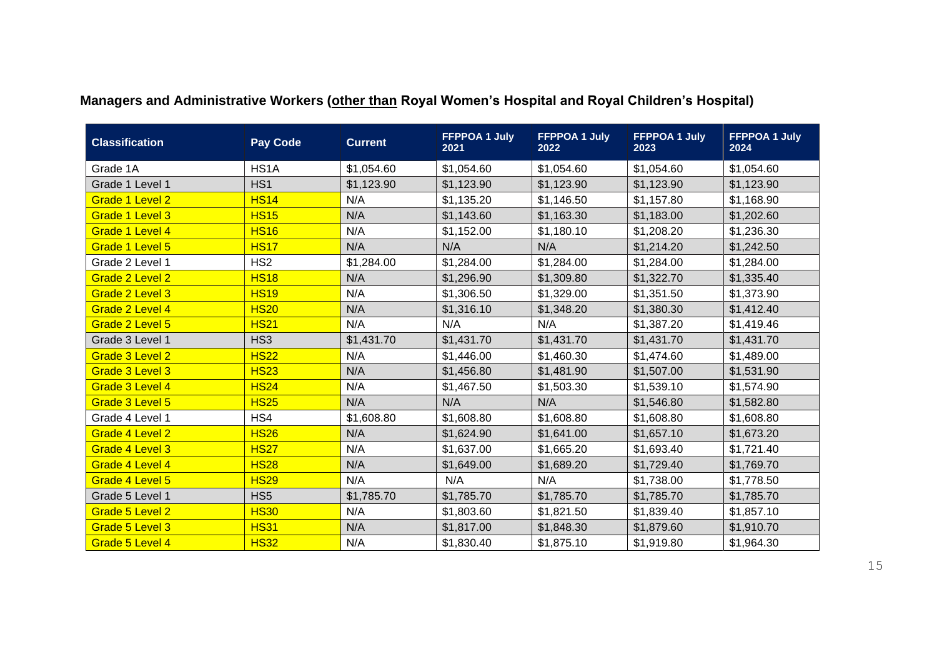| <b>Classification</b> | <b>Pay Code</b> | <b>Current</b> | <b>FFPPOA 1 July</b><br>2021 | <b>FFPPOA 1 July</b><br>2022 | <b>FFPPOA 1 July</b><br>2023 | <b>FFPPOA 1 July</b><br>2024 |
|-----------------------|-----------------|----------------|------------------------------|------------------------------|------------------------------|------------------------------|
| Grade 1A              | HS1A            | \$1,054.60     | \$1,054.60                   | \$1,054.60                   | \$1,054.60                   | \$1,054.60                   |
| Grade 1 Level 1       | HS <sub>1</sub> | \$1,123.90     | \$1,123.90                   | \$1,123.90                   | \$1,123.90                   | \$1,123.90                   |
| Grade 1 Level 2       | <b>HS14</b>     | N/A            | \$1,135.20                   | \$1,146.50                   | \$1,157.80                   | \$1,168.90                   |
| Grade 1 Level 3       | <b>HS15</b>     | N/A            | \$1,143.60                   | \$1,163.30                   | \$1,183.00                   | \$1,202.60                   |
| Grade 1 Level 4       | <b>HS16</b>     | N/A            | \$1,152.00                   | \$1,180.10                   | \$1,208.20                   | \$1,236.30                   |
| Grade 1 Level 5       | <b>HS17</b>     | N/A            | N/A                          | N/A                          | \$1,214.20                   | \$1,242.50                   |
| Grade 2 Level 1       | HS <sub>2</sub> | \$1,284.00     | \$1,284.00                   | \$1,284.00                   | \$1,284.00                   | \$1,284.00                   |
| Grade 2 Level 2       | <b>HS18</b>     | N/A            | \$1,296.90                   | \$1,309.80                   | \$1,322.70                   | \$1,335.40                   |
| Grade 2 Level 3       | <b>HS19</b>     | N/A            | \$1,306.50                   | \$1,329.00                   | \$1,351.50                   | \$1,373.90                   |
| Grade 2 Level 4       | <b>HS20</b>     | N/A            | \$1,316.10                   | \$1,348.20                   | \$1,380.30                   | \$1,412.40                   |
| Grade 2 Level 5       | <b>HS21</b>     | N/A            | N/A                          | N/A                          | \$1,387.20                   | \$1,419.46                   |
| Grade 3 Level 1       | HS <sub>3</sub> | \$1,431.70     | \$1,431.70                   | \$1,431.70                   | \$1,431.70                   | \$1,431.70                   |
| Grade 3 Level 2       | <b>HS22</b>     | N/A            | \$1,446.00                   | \$1,460.30                   | \$1,474.60                   | \$1,489.00                   |
| Grade 3 Level 3       | <b>HS23</b>     | N/A            | \$1,456.80                   | \$1,481.90                   | \$1,507.00                   | \$1,531.90                   |
| Grade 3 Level 4       | <b>HS24</b>     | N/A            | \$1,467.50                   | \$1,503.30                   | \$1,539.10                   | \$1,574.90                   |
| Grade 3 Level 5       | <b>HS25</b>     | N/A            | N/A                          | N/A                          | \$1,546.80                   | \$1,582.80                   |
| Grade 4 Level 1       | HS4             | \$1,608.80     | \$1,608.80                   | \$1,608.80                   | \$1,608.80                   | \$1,608.80                   |
| Grade 4 Level 2       | <b>HS26</b>     | N/A            | \$1,624.90                   | \$1,641.00                   | \$1,657.10                   | \$1,673.20                   |
| Grade 4 Level 3       | <b>HS27</b>     | N/A            | \$1,637.00                   | \$1,665.20                   | \$1,693.40                   | \$1,721.40                   |
| Grade 4 Level 4       | <b>HS28</b>     | N/A            | \$1,649.00                   | \$1,689.20                   | \$1,729.40                   | \$1,769.70                   |
| Grade 4 Level 5       | <b>HS29</b>     | N/A            | N/A                          | N/A                          | \$1,738.00                   | \$1,778.50                   |
| Grade 5 Level 1       | HS <sub>5</sub> | \$1,785.70     | \$1,785.70                   | \$1,785.70                   | \$1,785.70                   | \$1,785.70                   |
| Grade 5 Level 2       | <b>HS30</b>     | N/A            | \$1,803.60                   | \$1,821.50                   | \$1,839.40                   | \$1,857.10                   |
| Grade 5 Level 3       | <b>HS31</b>     | N/A            | \$1,817.00                   | \$1,848.30                   | \$1,879.60                   | \$1,910.70                   |
| Grade 5 Level 4       | <b>HS32</b>     | N/A            | \$1,830.40                   | \$1,875.10                   | \$1,919.80                   | \$1,964.30                   |

## **Managers and Administrative Workers (other than Royal Women's Hospital and Royal Children's Hospital)**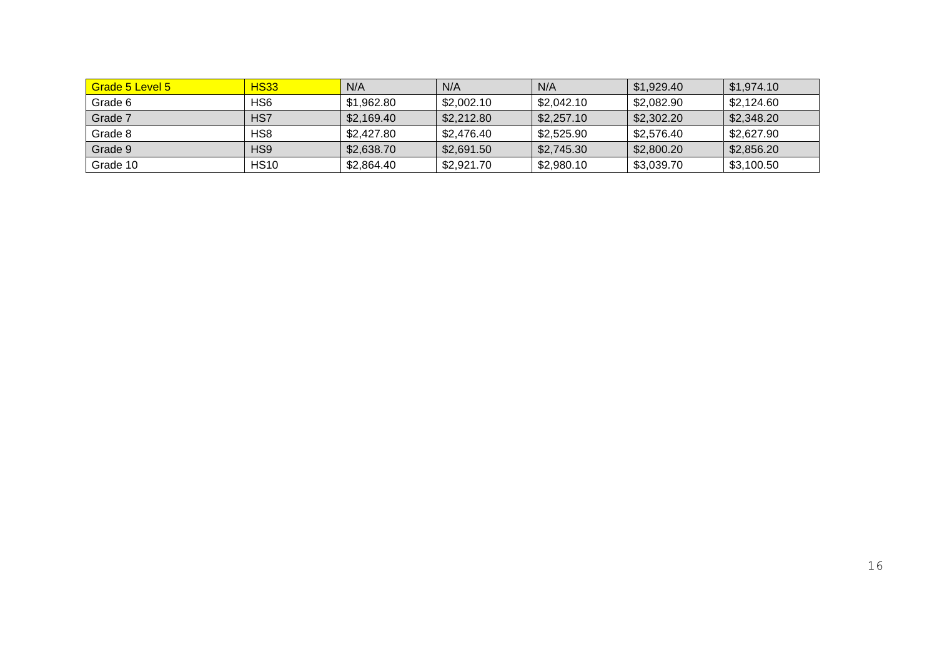| Grade 5 Level 5 | <b>HS33</b>     | N/A        | N/A        | N/A        | \$1,929.40 | \$1,974.10 |
|-----------------|-----------------|------------|------------|------------|------------|------------|
| Grade 6         | H <sub>S6</sub> | \$1.962.80 | \$2,002.10 | \$2,042.10 | \$2,082.90 | \$2.124.60 |
| Grade 7         | HS7             | \$2.169.40 | \$2,212.80 | \$2.257.10 | \$2,302.20 | \$2,348.20 |
| Grade 8         | HS8             | \$2,427.80 | \$2.476.40 | \$2,525.90 | \$2.576.40 | \$2,627.90 |
| Grade 9         | HS9             | \$2,638.70 | \$2,691.50 | \$2,745.30 | \$2,800.20 | \$2,856.20 |
| Grade 10        | <b>HS10</b>     | \$2,864.40 | \$2,921.70 | \$2,980.10 | \$3,039.70 | \$3,100.50 |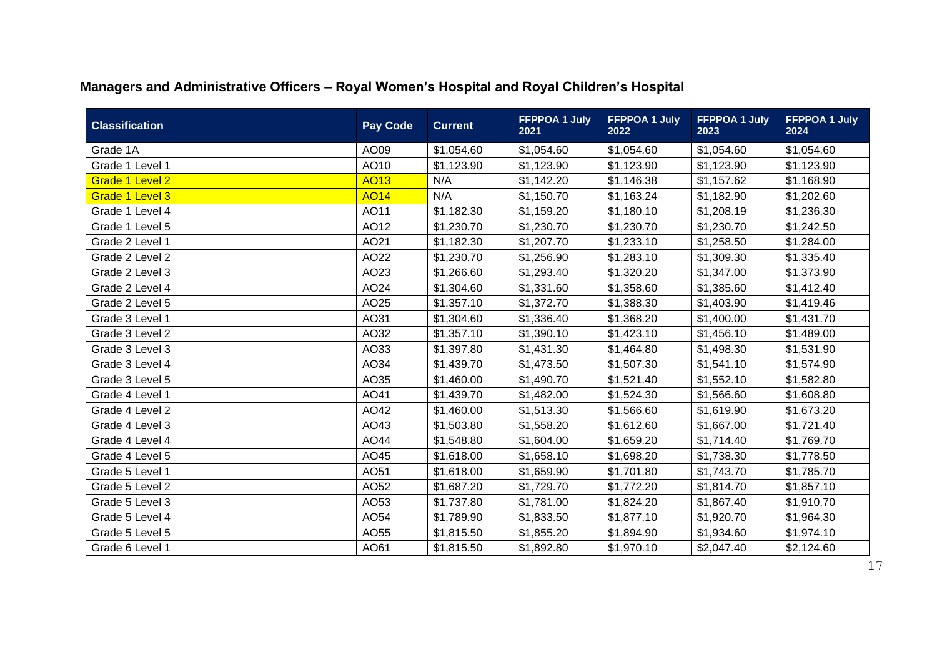| <b>Classification</b> | <b>Pay Code</b> | <b>Current</b> | <b>FFPPOA 1 July</b><br>2021 | <b>FFPPOA 1 July</b><br>2022 | <b>FFPPOA 1 July</b><br>2023 | <b>FFPPOA 1 July</b><br>2024 |
|-----------------------|-----------------|----------------|------------------------------|------------------------------|------------------------------|------------------------------|
| Grade 1A              | AO09            | \$1,054.60     | \$1,054.60                   | \$1,054.60                   | \$1,054.60                   | \$1,054.60                   |
| Grade 1 Level 1       | AO10            | \$1,123.90     | \$1,123.90                   | \$1,123.90                   | \$1,123.90                   | \$1,123.90                   |
| Grade 1 Level 2       | <b>AO13</b>     | N/A            | \$1,142.20                   | \$1,146.38                   | \$1,157.62                   | \$1,168.90                   |
| Grade 1 Level 3       | <b>AO14</b>     | N/A            | \$1,150.70                   | \$1,163.24                   | \$1,182.90                   | \$1,202.60                   |
| Grade 1 Level 4       | AO11            | \$1,182.30     | \$1,159.20                   | \$1,180.10                   | \$1,208.19                   | \$1,236.30                   |
| Grade 1 Level 5       | AO12            | \$1,230.70     | \$1,230.70                   | \$1,230.70                   | \$1,230.70                   | \$1,242.50                   |
| Grade 2 Level 1       | AO21            | \$1,182.30     | \$1,207.70                   | \$1,233.10                   | \$1,258.50                   | \$1,284.00                   |
| Grade 2 Level 2       | AO22            | \$1,230.70     | \$1,256.90                   | \$1,283.10                   | \$1,309.30                   | \$1,335.40                   |
| Grade 2 Level 3       | AO23            | \$1,266.60     | \$1,293.40                   | \$1,320.20                   | \$1,347.00                   | \$1,373.90                   |
| Grade 2 Level 4       | AO24            | \$1,304.60     | \$1,331.60                   | \$1,358.60                   | \$1,385.60                   | \$1,412.40                   |
| Grade 2 Level 5       | AO25            | \$1,357.10     | \$1,372.70                   | \$1,388.30                   | \$1,403.90                   | \$1,419.46                   |
| Grade 3 Level 1       | AO31            | \$1,304.60     | \$1,336.40                   | \$1,368.20                   | \$1,400.00                   | \$1,431.70                   |
| Grade 3 Level 2       | AO32            | \$1,357.10     | \$1,390.10                   | \$1,423.10                   | \$1,456.10                   | \$1,489.00                   |
| Grade 3 Level 3       | AO33            | \$1,397.80     | \$1,431.30                   | \$1,464.80                   | \$1,498.30                   | \$1,531.90                   |
| Grade 3 Level 4       | AO34            | \$1,439.70     | \$1,473.50                   | \$1,507.30                   | \$1,541.10                   | \$1,574.90                   |
| Grade 3 Level 5       | AO35            | \$1,460.00     | \$1,490.70                   | \$1,521.40                   | \$1,552.10                   | \$1,582.80                   |
| Grade 4 Level 1       | AO41            | \$1,439.70     | \$1,482.00                   | \$1,524.30                   | \$1,566.60                   | \$1,608.80                   |
| Grade 4 Level 2       | AO42            | \$1,460.00     | \$1,513.30                   | \$1,566.60                   | \$1,619.90                   | \$1,673.20                   |
| Grade 4 Level 3       | AO43            | \$1,503.80     | \$1,558.20                   | \$1,612.60                   | \$1,667.00                   | \$1,721.40                   |
| Grade 4 Level 4       | AO44            | \$1,548.80     | \$1,604.00                   | \$1,659.20                   | \$1,714.40                   | \$1,769.70                   |
| Grade 4 Level 5       | AO45            | \$1,618.00     | \$1,658.10                   | \$1,698.20                   | \$1,738.30                   | \$1,778.50                   |
| Grade 5 Level 1       | AO51            | \$1,618.00     | \$1,659.90                   | \$1,701.80                   | \$1,743.70                   | \$1,785.70                   |
| Grade 5 Level 2       | AO52            | \$1,687.20     | \$1,729.70                   | \$1,772.20                   | \$1,814.70                   | \$1,857.10                   |
| Grade 5 Level 3       | AO53            | \$1,737.80     | \$1,781.00                   | \$1,824.20                   | \$1,867.40                   | \$1,910.70                   |
| Grade 5 Level 4       | AO54            | \$1,789.90     | \$1,833.50                   | \$1,877.10                   | \$1,920.70                   | \$1,964.30                   |
| Grade 5 Level 5       | AO55            | \$1,815.50     | \$1,855.20                   | \$1,894.90                   | \$1,934.60                   | \$1,974.10                   |
| Grade 6 Level 1       | AO61            | \$1,815.50     | \$1,892.80                   | \$1,970.10                   | \$2,047.40                   | \$2,124.60                   |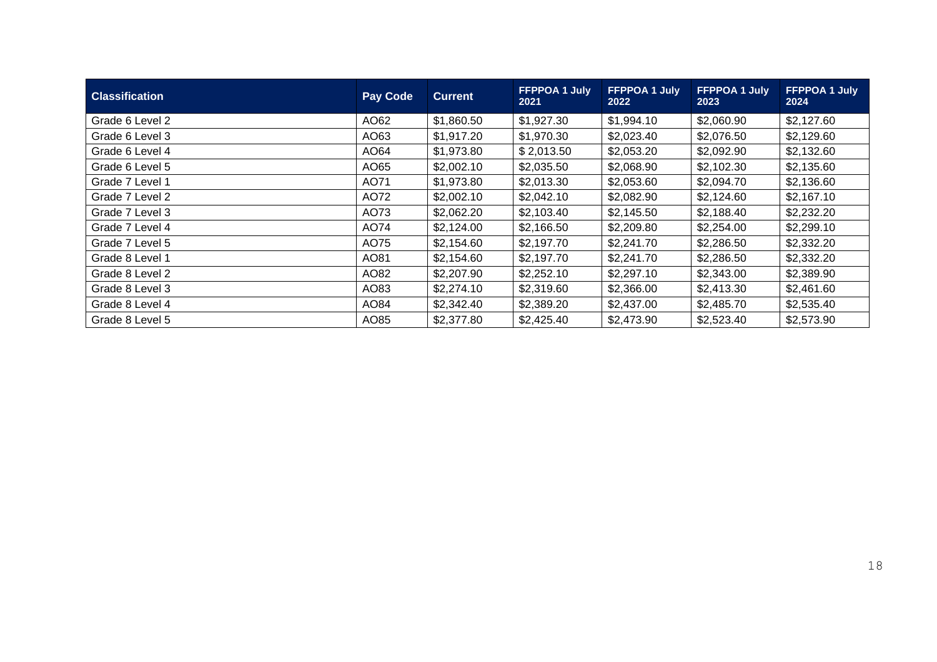| <b>Classification</b> | <b>Pay Code</b> | <b>Current</b> | FFPPOA 1 July<br>2021 | <b>FFPPOA 1 July</b><br>2022 | <b>FFPPOA 1 July</b><br>2023 | FFPPOA 1 July<br>2024 |
|-----------------------|-----------------|----------------|-----------------------|------------------------------|------------------------------|-----------------------|
| Grade 6 Level 2       | AO62            | \$1,860.50     | \$1,927.30            | \$1,994.10                   | \$2,060.90                   | \$2,127.60            |
| Grade 6 Level 3       | AO63            | \$1,917.20     | \$1,970.30            | \$2,023.40                   | \$2,076.50                   | \$2,129.60            |
| Grade 6 Level 4       | AO64            | \$1,973.80     | \$2,013.50            | \$2,053.20                   | \$2,092.90                   | \$2,132.60            |
| Grade 6 Level 5       | AO65            | \$2,002.10     | \$2,035.50            | \$2,068.90                   | \$2,102.30                   | \$2,135.60            |
| Grade 7 Level 1       | AO71            | \$1,973.80     | \$2,013.30            | \$2,053.60                   | \$2,094.70                   | \$2,136.60            |
| Grade 7 Level 2       | AO72            | \$2,002.10     | \$2,042.10            | \$2,082.90                   | \$2,124.60                   | \$2,167.10            |
| Grade 7 Level 3       | AO73            | \$2,062.20     | \$2,103.40            | \$2,145.50                   | \$2,188.40                   | \$2,232.20            |
| Grade 7 Level 4       | AO74            | \$2,124.00     | \$2,166.50            | \$2,209.80                   | \$2,254.00                   | \$2,299.10            |
| Grade 7 Level 5       | AO75            | \$2,154.60     | \$2,197.70            | \$2,241.70                   | \$2,286.50                   | \$2,332.20            |
| Grade 8 Level 1       | AO81            | \$2,154.60     | \$2,197.70            | \$2,241.70                   | \$2,286.50                   | \$2,332.20            |
| Grade 8 Level 2       | AO82            | \$2,207.90     | \$2,252.10            | \$2,297.10                   | \$2,343.00                   | \$2,389.90            |
| Grade 8 Level 3       | AO83            | \$2,274.10     | \$2,319.60            | \$2,366.00                   | \$2,413.30                   | \$2,461.60            |
| Grade 8 Level 4       | AO84            | \$2,342.40     | \$2,389.20            | \$2,437.00                   | \$2,485.70                   | \$2,535.40            |
| Grade 8 Level 5       | AO85            | \$2,377.80     | \$2,425.40            | \$2,473.90                   | \$2,523.40                   | \$2,573.90            |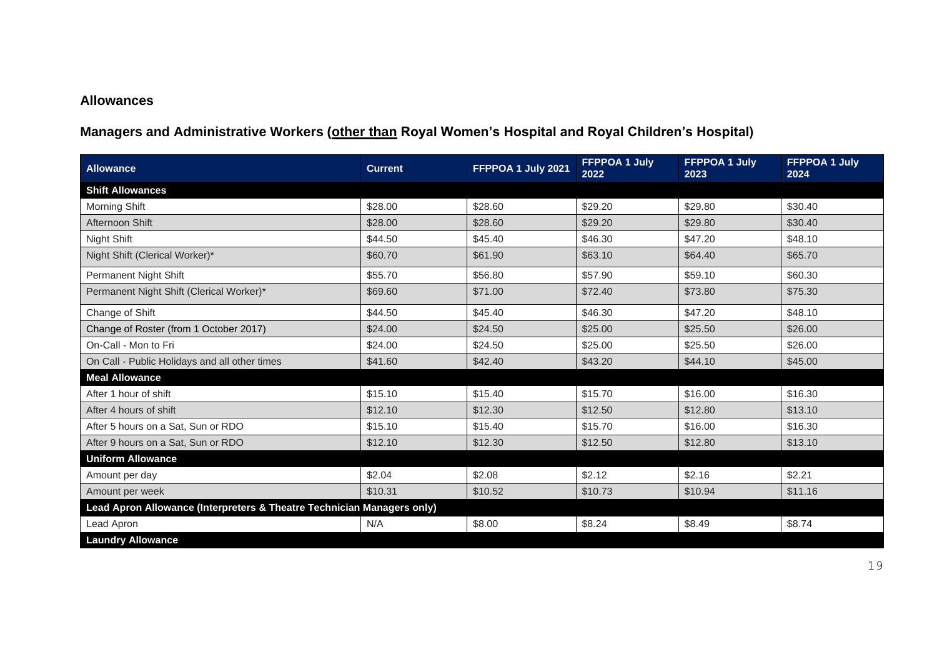#### **Allowances**

## **Managers and Administrative Workers (other than Royal Women's Hospital and Royal Children's Hospital)**

| <b>Allowance</b>                                                       | <b>Current</b> | FFPPOA 1 July 2021 | FFPPOA 1 July<br>2022 | <b>FFPPOA 1 July</b><br>2023 | <b>FFPPOA 1 July</b><br>2024 |
|------------------------------------------------------------------------|----------------|--------------------|-----------------------|------------------------------|------------------------------|
| <b>Shift Allowances</b>                                                |                |                    |                       |                              |                              |
| Morning Shift                                                          | \$28.00        | \$28.60            | \$29.20               | \$29.80                      | \$30.40                      |
| Afternoon Shift                                                        | \$28.00        | \$28.60            | \$29.20               | \$29.80                      | \$30.40                      |
| Night Shift                                                            | \$44.50        | \$45.40            | \$46.30               | \$47.20                      | \$48.10                      |
| Night Shift (Clerical Worker)*                                         | \$60.70        | \$61.90            | \$63.10               | \$64.40                      | \$65.70                      |
| Permanent Night Shift                                                  | \$55.70        | \$56.80            | \$57.90               | \$59.10                      | \$60.30                      |
| Permanent Night Shift (Clerical Worker)*                               | \$69.60        | \$71.00            | \$72.40               | \$73.80                      | \$75.30                      |
| Change of Shift                                                        | \$44.50        | \$45.40            | \$46.30               | \$47.20                      | \$48.10                      |
| Change of Roster (from 1 October 2017)                                 | \$24.00        | \$24.50            | \$25.00               | \$25.50                      | \$26.00                      |
| On-Call - Mon to Fri                                                   | \$24.00        | \$24.50            | \$25.00               | \$25.50                      | \$26.00                      |
| On Call - Public Holidays and all other times                          | \$41.60        | \$42.40            | \$43.20               | \$44.10                      | \$45.00                      |
| <b>Meal Allowance</b>                                                  |                |                    |                       |                              |                              |
| After 1 hour of shift                                                  | \$15.10        | \$15.40            | \$15.70               | \$16.00                      | \$16.30                      |
| After 4 hours of shift                                                 | \$12.10        | \$12.30            | \$12.50               | \$12.80                      | \$13.10                      |
| After 5 hours on a Sat, Sun or RDO                                     | \$15.10        | \$15.40            | \$15.70               | \$16.00                      | \$16.30                      |
| After 9 hours on a Sat, Sun or RDO                                     | \$12.10        | \$12.30            | \$12.50               | \$12.80                      | \$13.10                      |
| <b>Uniform Allowance</b>                                               |                |                    |                       |                              |                              |
| Amount per day                                                         | \$2.04         | \$2.08             | \$2.12                | \$2.16                       | \$2.21                       |
| Amount per week                                                        | \$10.31        | \$10.52            | \$10.73               | \$10.94                      | \$11.16                      |
| Lead Apron Allowance (Interpreters & Theatre Technician Managers only) |                |                    |                       |                              |                              |
| Lead Apron                                                             | N/A            | \$8.00             | \$8.24                | \$8.49                       | \$8.74                       |
| <b>Laundry Allowance</b>                                               |                |                    |                       |                              |                              |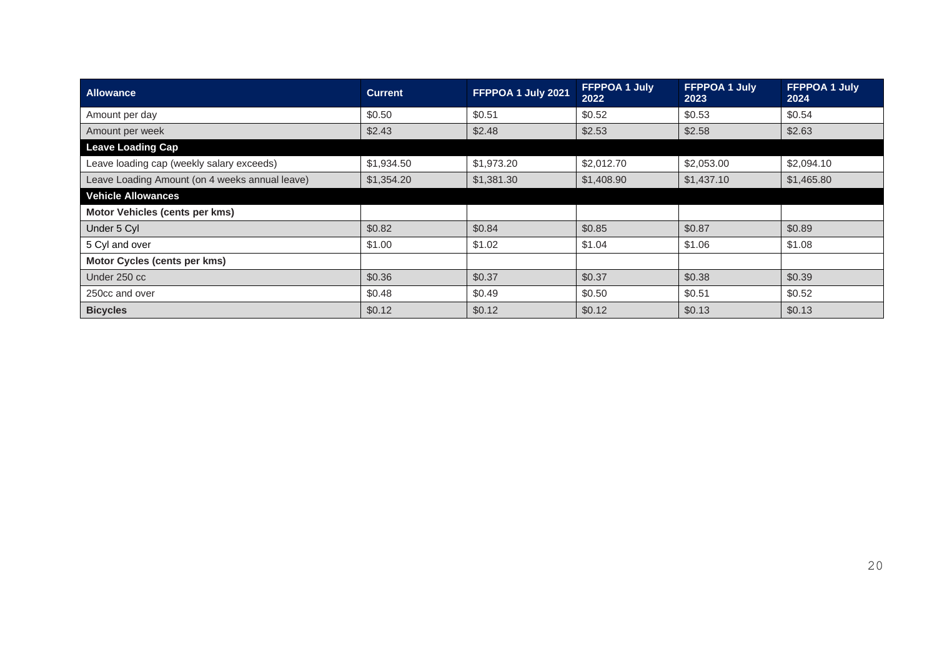| <b>Allowance</b>                               | <b>Current</b> | FFPPOA 1 July 2021 | <b>FFPPOA 1 July</b><br>2022 | <b>FFPPOA 1 July</b><br>2023 | <b>FFPPOA 1 July</b><br>2024 |
|------------------------------------------------|----------------|--------------------|------------------------------|------------------------------|------------------------------|
| Amount per day                                 | \$0.50         | \$0.51             | \$0.52                       | \$0.53                       | \$0.54                       |
| Amount per week                                | \$2.43         | \$2.48             | \$2.53                       | \$2.58                       | \$2.63                       |
| <b>Leave Loading Cap</b>                       |                |                    |                              |                              |                              |
| Leave loading cap (weekly salary exceeds)      | \$1,934.50     | \$1,973.20         | \$2,012.70                   | \$2,053.00                   | \$2,094.10                   |
| Leave Loading Amount (on 4 weeks annual leave) | \$1,354.20     | \$1,381.30         | \$1,408.90                   | \$1,437.10                   | \$1,465.80                   |
| <b>Vehicle Allowances</b>                      |                |                    |                              |                              |                              |
| Motor Vehicles (cents per kms)                 |                |                    |                              |                              |                              |
| Under 5 Cyl                                    | \$0.82         | \$0.84             | \$0.85                       | \$0.87                       | \$0.89                       |
| 5 Cyl and over                                 | \$1.00         | \$1.02             | \$1.04                       | \$1.06                       | \$1.08                       |
| Motor Cycles (cents per kms)                   |                |                    |                              |                              |                              |
| Under 250 cc                                   | \$0.36         | \$0.37             | \$0.37                       | \$0.38                       | \$0.39                       |
| 250cc and over                                 | \$0.48         | \$0.49             | \$0.50                       | \$0.51                       | \$0.52                       |
| <b>Bicycles</b>                                | \$0.12         | \$0.12             | \$0.12                       | \$0.13                       | \$0.13                       |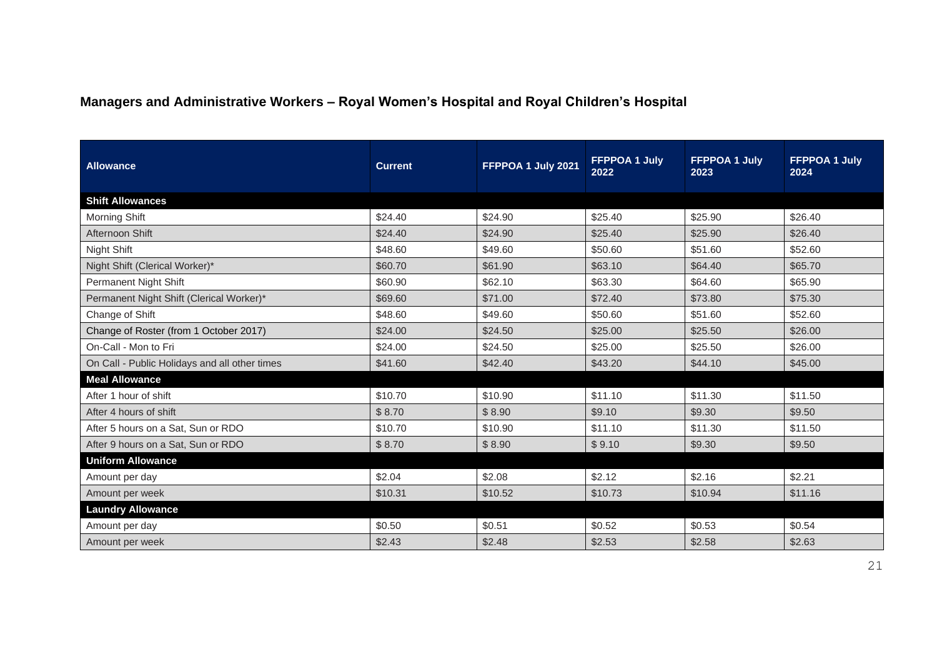## **Managers and Administrative Workers – Royal Women's Hospital and Royal Children's Hospital**

| <b>Allowance</b>                              | <b>Current</b> | FFPPOA 1 July 2021 | <b>FFPPOA 1 July</b><br>2022 | <b>FFPPOA 1 July</b><br>2023 | <b>FFPPOA 1 July</b><br>2024 |
|-----------------------------------------------|----------------|--------------------|------------------------------|------------------------------|------------------------------|
| <b>Shift Allowances</b>                       |                |                    |                              |                              |                              |
| Morning Shift                                 | \$24.40        | \$24.90            | \$25.40                      | \$25.90                      | \$26.40                      |
| Afternoon Shift                               | \$24.40        | \$24.90            | \$25.40                      | \$25.90                      | \$26.40                      |
| Night Shift                                   | \$48.60        | \$49.60            | \$50.60                      | \$51.60                      | \$52.60                      |
| Night Shift (Clerical Worker)*                | \$60.70        | \$61.90            | \$63.10                      | \$64.40                      | \$65.70                      |
| <b>Permanent Night Shift</b>                  | \$60.90        | \$62.10            | \$63.30                      | \$64.60                      | \$65.90                      |
| Permanent Night Shift (Clerical Worker)*      | \$69.60        | \$71.00            | \$72.40                      | \$73.80                      | \$75.30                      |
| Change of Shift                               | \$48.60        | \$49.60            | \$50.60                      | \$51.60                      | \$52.60                      |
| Change of Roster (from 1 October 2017)        | \$24.00        | \$24.50            | \$25.00                      | \$25.50                      | \$26.00                      |
| On-Call - Mon to Fri                          | \$24.00        | \$24.50            | \$25.00                      | \$25.50                      | \$26.00                      |
| On Call - Public Holidays and all other times | \$41.60        | \$42.40            | \$43.20                      | \$44.10                      | \$45.00                      |
| <b>Meal Allowance</b>                         |                |                    |                              |                              |                              |
| After 1 hour of shift                         | \$10.70        | \$10.90            | \$11.10                      | \$11.30                      | \$11.50                      |
| After 4 hours of shift                        | \$8.70         | \$8.90             | \$9.10                       | \$9.30                       | \$9.50                       |
| After 5 hours on a Sat, Sun or RDO            | \$10.70        | \$10.90            | \$11.10                      | \$11.30                      | \$11.50                      |
| After 9 hours on a Sat, Sun or RDO            | \$8.70         | \$8.90             | \$9.10                       | \$9.30                       | \$9.50                       |
| <b>Uniform Allowance</b>                      |                |                    |                              |                              |                              |
| Amount per day                                | \$2.04         | \$2.08             | \$2.12                       | \$2.16                       | \$2.21                       |
| Amount per week                               | \$10.31        | \$10.52            | \$10.73                      | \$10.94                      | \$11.16                      |
| <b>Laundry Allowance</b>                      |                |                    |                              |                              |                              |
| Amount per day                                | \$0.50         | \$0.51             | \$0.52                       | \$0.53                       | \$0.54                       |
| Amount per week                               | \$2.43         | \$2.48             | \$2.53                       | \$2.58                       | \$2.63                       |